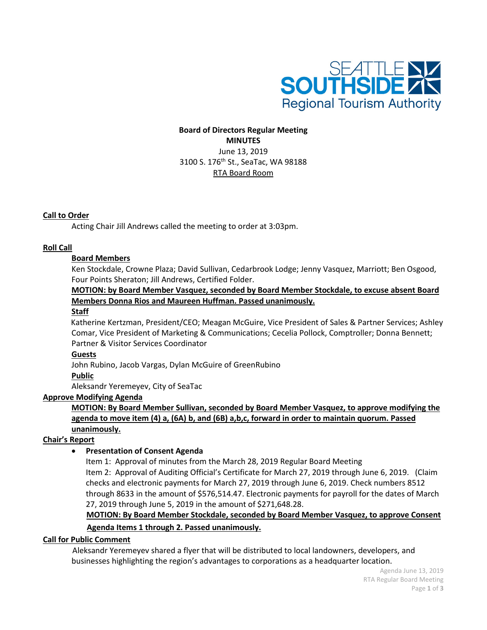

# **Board of Directors Regular Meeting MINUTES** June 13, 2019 3100 S. 176<sup>th</sup> St., SeaTac, WA 98188 RTA Board Room

## **Call to Order**

Acting Chair Jill Andrews called the meeting to order at 3:03pm.

## **Roll Call**

## **Board Members**

Ken Stockdale, Crowne Plaza; David Sullivan, Cedarbrook Lodge; Jenny Vasquez, Marriott; Ben Osgood, Four Points Sheraton; Jill Andrews, Certified Folder.

# **MOTION: by Board Member Vasquez, seconded by Board Member Stockdale, to excuse absent Board Members Donna Rios and Maureen Huffman. Passed unanimously.**

#### **Staff**

Katherine Kertzman, President/CEO; Meagan McGuire, Vice President of Sales & Partner Services; Ashley Comar, Vice President of Marketing & Communications; Cecelia Pollock, Comptroller; Donna Bennett; Partner & Visitor Services Coordinator

## **Guests**

John Rubino, Jacob Vargas, Dylan McGuire of GreenRubino

**Public**

Aleksandr Yeremeyev, City of SeaTac

## **Approve Modifying Agenda**

**MOTION: By Board Member Sullivan, seconded by Board Member Vasquez, to approve modifying the agenda to move item (4) a, (6A) b, and (6B) a,b,c, forward in order to maintain quorum. Passed unanimously.**

## **Chair's Report**

# • **Presentation of Consent Agenda**

Item 1: Approval of minutes from the March 28, 2019 Regular Board Meeting Item 2: Approval of Auditing Official's Certificate for March 27, 2019 through June 6, 2019. (Claim checks and electronic payments for March 27, 2019 through June 6, 2019. Check numbers 8512 through 8633 in the amount of \$576,514.47. Electronic payments for payroll for the dates of March 27, 2019 through June 5, 2019 in the amount of \$271,648.28.

# **MOTION: By Board Member Stockdale, seconded by Board Member Vasquez, to approve Consent**

## **Agenda Items 1 through 2. Passed unanimously.**

## **Call for Public Comment**

 Aleksandr Yeremeyev shared a flyer that will be distributed to local landowners, developers, and businesses highlighting the region's advantages to corporations as a headquarter location.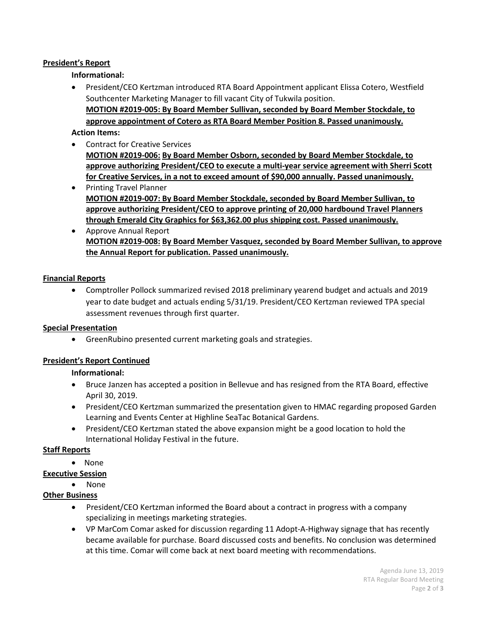## **President's Report**

**Informational:** 

• President/CEO Kertzman introduced RTA Board Appointment applicant Elissa Cotero, Westfield Southcenter Marketing Manager to fill vacant City of Tukwila position. **MOTION #2019-005: By Board Member Sullivan, seconded by Board Member Stockdale, to approve appointment of Cotero as RTA Board Member Position 8. Passed unanimously.**

## **Action Items:**

- Contract for Creative Services **MOTION #2019-006: By Board Member Osborn, seconded by Board Member Stockdale, to approve authorizing President/CEO to execute a multi-year service agreement with Sherri Scott for Creative Services, in a not to exceed amount of \$90,000 annually. Passed unanimously.**
- Printing Travel Planner **MOTION #2019-007: By Board Member Stockdale, seconded by Board Member Sullivan, to approve authorizing President/CEO to approve printing of 20,000 hardbound Travel Planners through Emerald City Graphics for \$63,362.00 plus shipping cost. Passed unanimously.**
- Approve Annual Report **MOTION #2019-008: By Board Member Vasquez, seconded by Board Member Sullivan, to approve the Annual Report for publication. Passed unanimously.**

## **Financial Reports**

• Comptroller Pollock summarized revised 2018 preliminary yearend budget and actuals and 2019 year to date budget and actuals ending 5/31/19. President/CEO Kertzman reviewed TPA special assessment revenues through first quarter.

## **Special Presentation**

• GreenRubino presented current marketing goals and strategies.

# **President's Report Continued**

## **Informational:**

- Bruce Janzen has accepted a position in Bellevue and has resigned from the RTA Board, effective April 30, 2019.
- President/CEO Kertzman summarized the presentation given to HMAC regarding proposed Garden Learning and Events Center at Highline SeaTac Botanical Gardens.
- President/CEO Kertzman stated the above expansion might be a good location to hold the International Holiday Festival in the future.

## **Staff Reports**

• None

## **Executive Session**

# • None

# **Other Business**

- President/CEO Kertzman informed the Board about a contract in progress with a company specializing in meetings marketing strategies.
- VP MarCom Comar asked for discussion regarding 11 Adopt-A-Highway signage that has recently became available for purchase. Board discussed costs and benefits. No conclusion was determined at this time. Comar will come back at next board meeting with recommendations.